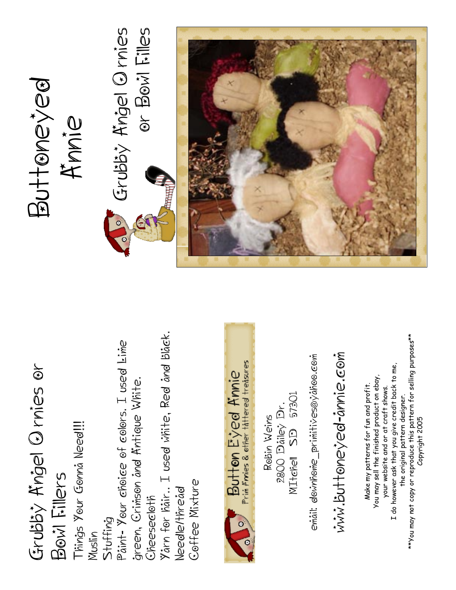Grubby Angel Q mies Or BOW Filles Grubby Angel Ornies or Bowl Filles Buttoneyed Buttoneyed Anniee Yårn for håir.. I used vihite, Red ånd blåek. Yarn for hair.. I used white, Red and black. \*\*You may not copy or reproduce this pattern for selling purposes\*\* \*\*You may not copy or reproduce this pattern for selling purposes\*\* Paint- Your choice of colors. I used kine Paint- Your choice of colors. I used Lime ŵŵŵ.buttoneyed-ånnie.com email: downhome\_primitives@yahoo.com www.buttoneyed-annie.com email: downhome\_primitives@yahoo.com Button Eyed Annie<br>Prin Annies & other tattered treasures Grubby Angel Q rnies or I do however ask that you give credit back to me, Grubby Angel Ornies or I do however ask that you give credit back to me, You may sell the finished product on ebay, You may sell the finished product on ebay, green, Crimson and Kntique White. green, Crimson and Antique White. Make my patterns for fun and profit. Make my patterns for fun and profit. our website and or at craft shows. your website and or at craft shows. 2800 Dáiley Dr.<br>MIteñell SD 57301 MItchell SB 57301 the original pattern designer. the original pattern designer. 2800 Dailey Dr. Rebin Weins Copyright 2005 Robin Weins Copyright 2005 Things Your Gonna Need!!! Things Your Gonna Need!!! Bow Fillers Bowl Fillers Geffee Mixture Coffee Mixture Needle/thread Needle/thread Cheesecloth Cheesecloth Stuffing Muslin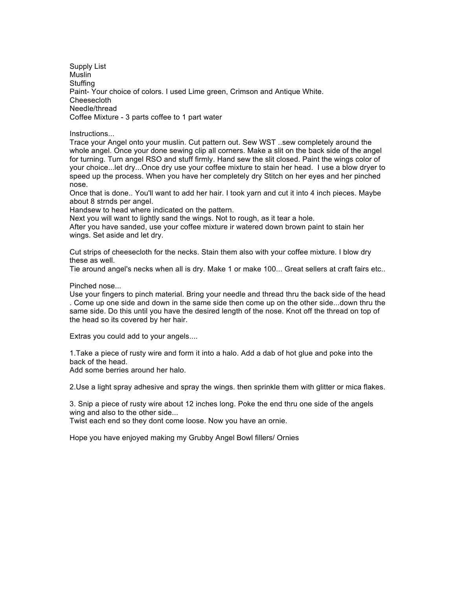Supply List Muslin **Stuffing** Paint- Your choice of colors. I used Lime green, Crimson and Antique White. Cheesecloth Needle/thread Coffee Mixture - 3 parts coffee to 1 part water

Instructions...

Trace your Angel onto your muslin. Cut pattern out. Sew WST ..sew completely around the whole angel. Once your done sewing clip all corners. Make a slit on the back side of the angel for turning. Turn angel RSO and stuff firmly. Hand sew the slit closed. Paint the wings color of your choice...let dry...Once dry use your coffee mixture to stain her head. I use a blow dryer to speed up the process. When you have her completely dry Stitch on her eyes and her pinched nose.

Once that is done.. You'll want to add her hair. I took yarn and cut it into 4 inch pieces. Maybe about 8 strnds per angel.

Handsew to head where indicated on the pattern.

Next you will want to lightly sand the wings. Not to rough, as it tear a hole.

After you have sanded, use your coffee mixture ir watered down brown paint to stain her wings. Set aside and let dry.

Cut strips of cheesecloth for the necks. Stain them also with your coffee mixture. I blow dry these as well.

Tie around angel's necks when all is dry. Make 1 or make 100... Great sellers at craft fairs etc..

Pinched nose...

Use your fingers to pinch material. Bring your needle and thread thru the back side of the head . Come up one side and down in the same side then come up on the other side...down thru the same side. Do this until you have the desired length of the nose. Knot off the thread on top of the head so its covered by her hair.

Extras you could add to your angels....

1.Take a piece of rusty wire and form it into a halo. Add a dab of hot glue and poke into the back of the head.

Add some berries around her halo.

2.Use a light spray adhesive and spray the wings. then sprinkle them with glitter or mica flakes.

3. Snip a piece of rusty wire about 12 inches long. Poke the end thru one side of the angels wing and also to the other side...

Twist each end so they dont come loose. Now you have an ornie.

Hope you have enjoyed making my Grubby Angel Bowl fillers/ Ornies